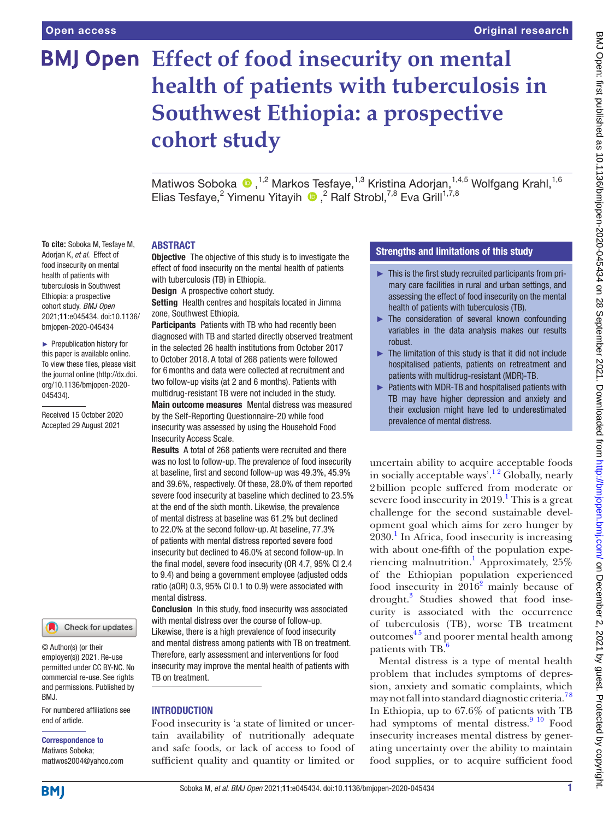**To cite:** Soboka M, Tesfaye M, Adorjan K, *et al*. Effect of food insecurity on mental health of patients with tuberculosis in Southwest Ethiopia: a prospective cohort study. *BMJ Open* 2021;11:e045434. doi:10.1136/ bmjopen-2020-045434 ► Prepublication history for this paper is available online. To view these files, please visit the journal online [\(http://dx.doi.](http://dx.doi.org/10.1136/bmjopen-2020-045434) [org/10.1136/bmjopen-2020-](http://dx.doi.org/10.1136/bmjopen-2020-045434)

[045434\)](http://dx.doi.org/10.1136/bmjopen-2020-045434).

Received 15 October 2020 Accepted 29 August 2021

# **BMJ Open** Effect of food insecurity on mental **health of patients with tuberculosis in Southwest Ethiopia: a prospective cohort study**

MatiwosSoboka <sup>®</sup>,<sup>1,2</sup> Markos Tesfaye,<sup>1,3</sup> Kristina Adorjan,<sup>1,4,5</sup> Wolfgang Krahl,<sup>1,6</sup> Elias Tesfaye,<sup>2</sup> Yimenu Yitayih  $\bigcirc$ ,<sup>2</sup> Ralf Strobl,<sup>7,8</sup> Eva Grill<sup>1,7,8</sup>

#### ABSTRACT

**Objective** The objective of this study is to investigate the effect of food insecurity on the mental health of patients with tuberculosis (TB) in Ethiopia.

Design A prospective cohort study.

Setting Health centres and hospitals located in Jimma zone, Southwest Ethiopia.

Participants Patients with TB who had recently been diagnosed with TB and started directly observed treatment in the selected 26 health institutions from October 2017 to October 2018. A total of 268 patients were followed for 6months and data were collected at recruitment and two follow-up visits (at 2 and 6 months). Patients with multidrug-resistant TB were not included in the study.

Main outcome measures Mental distress was measured by the Self-Reporting Questionnaire-20 while food insecurity was assessed by using the Household Food Insecurity Access Scale.

Results A total of 268 patients were recruited and there was no lost to follow-up. The prevalence of food insecurity at baseline, first and second follow-up was 49.3%, 45.9% and 39.6%, respectively. Of these, 28.0% of them reported severe food insecurity at baseline which declined to 23.5% at the end of the sixth month. Likewise, the prevalence of mental distress at baseline was 61.2% but declined to 22.0% at the second follow-up. At baseline, 77.3% of patients with mental distress reported severe food insecurity but declined to 46.0% at second follow-up. In the final model, severe food insecurity (OR 4.7, 95% CI 2.4 to 9.4) and being a government employee (adjusted odds ratio (aOR) 0.3, 95% CI 0.1 to 0.9) were associated with mental distress.

Conclusion In this study, food insecurity was associated with mental distress over the course of follow-up. Likewise, there is a high prevalence of food insecurity and mental distress among patients with TB on treatment. Therefore, early assessment and interventions for food insecurity may improve the mental health of patients with TB on treatment.

#### INTRODUCTION

Food insecurity is 'a state of limited or uncertain availability of nutritionally adequate and safe foods, or lack of access to food of sufficient quality and quantity or limited or

## Strengths and limitations of this study

- $\blacktriangleright$  This is the first study recruited participants from primary care facilities in rural and urban settings, and assessing the effect of food insecurity on the mental health of patients with tuberculosis (TB).
- ► The consideration of several known confounding variables in the data analysis makes our results robust.
- ► The limitation of this study is that it did not include hospitalised patients, patients on retreatment and patients with multidrug-resistant (MDR)-TB.
- ► Patients with MDR-TB and hospitalised patients with TB may have higher depression and anxiety and their exclusion might have led to underestimated prevalence of mental distress.

uncertain ability to acquire acceptable foods in socially acceptable ways'.<sup>12</sup> Globally, nearly 2billion people suffered from moderate or severe food insecurity in  $2019$  $2019$  $2019$ .<sup>1</sup> This is a great challenge for the second sustainable development goal which aims for zero hunger by 2030.[1](#page-6-0) In Africa, food insecurity is increasing with about one-fifth of the population expe-riencing malnutrition.<sup>[1](#page-6-0)</sup> Approximately, 25% of the Ethiopian population experienced food insecurity in  $2016^2$  $2016^2$  mainly because of drought.<sup>[3](#page-7-0)</sup> Studies showed that food insecurity is associated with the occurrence of tuberculosis (TB), worse TB treatment outcomes<sup>45</sup> and poorer mental health among patients with TB.<sup>[6](#page-7-2)</sup>

Mental distress is a type of mental health problem that includes symptoms of depression, anxiety and somatic complaints, which may not fall into standard diagnostic criteria.<sup>78</sup> In Ethiopia, up to 67.6% of patients with TB had symptoms of mental distress.<sup>9 10</sup> Food insecurity increases mental distress by generating uncertainty over the ability to maintain food supplies, or to acquire sufficient food

**BMI** 

end of article.

BMJ.

Correspondence to Matiwos Soboka; matiwos2004@yahoo.com

© Author(s) (or their employer(s)) 2021. Re-use permitted under CC BY-NC. No commercial re-use. See rights and permissions. Published by

For numbered affiliations see

Check for updates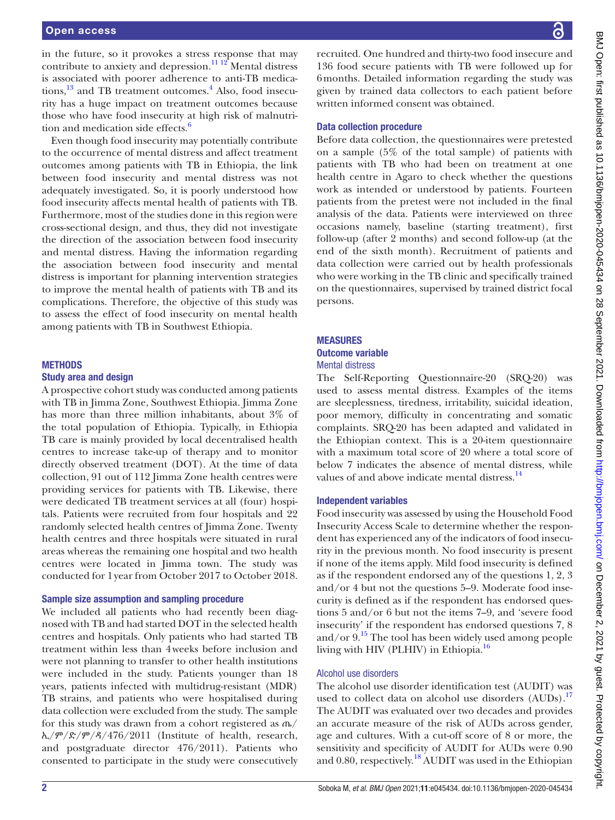in the future, so it provokes a stress response that may contribute to anxiety and depression.<sup>[11 12](#page-7-5)</sup> Mental distress is associated with poorer adherence to anti-TB medica-tions,<sup>[13](#page-7-6)</sup> and TB treatment outcomes.<sup>[4](#page-7-1)</sup> Also, food insecurity has a huge impact on treatment outcomes because those who have food insecurity at high risk of malnutri-tion and medication side effects.<sup>[6](#page-7-2)</sup>

Even though food insecurity may potentially contribute to the occurrence of mental distress and affect treatment outcomes among patients with TB in Ethiopia, the link between food insecurity and mental distress was not adequately investigated. So, it is poorly understood how food insecurity affects mental health of patients with TB. Furthermore, most of the studies done in this region were cross-sectional design, and thus, they did not investigate the direction of the association between food insecurity and mental distress. Having the information regarding the association between food insecurity and mental distress is important for planning intervention strategies to improve the mental health of patients with TB and its complications. Therefore, the objective of this study was to assess the effect of food insecurity on mental health among patients with TB in Southwest Ethiopia.

#### **METHODS**

#### Study area and design

A prospective cohort study was conducted among patients with TB in Jimma Zone, Southwest Ethiopia. Jimma Zone has more than three million inhabitants, about 3% of the total population of Ethiopia. Typically, in Ethiopia TB care is mainly provided by local decentralised health centres to increase take-up of therapy and to monitor directly observed treatment (DOT). At the time of data collection, 91 out of 112 Jimma Zone health centres were providing services for patients with TB. Likewise, there were dedicated TB treatment services at all (four) hospitals. Patients were recruited from four hospitals and 22 randomly selected health centres of Jimma Zone. Twenty health centres and three hospitals were situated in rural areas whereas the remaining one hospital and two health centres were located in Jimma town. The study was conducted for 1year from October 2017 to October 2018.

#### Sample size assumption and sampling procedure

We included all patients who had recently been diagnosed with TB and had started DOT in the selected health centres and hospitals. Only patients who had started TB treatment within less than 4weeks before inclusion and were not planning to transfer to other health institutions were included in the study. Patients younger than 18 years, patients infected with multidrug-resistant (MDR) TB strains, and patients who were hospitalised during data collection were excluded from the study. The sample for this study was drawn from a cohort registered as ጤ/  $\hbar$ /ም/ድ/ም/ዳ/476/2011 (Institute of health, research, and postgraduate director 476/2011). Patients who consented to participate in the study were consecutively

recruited. One hundred and thirty-two food insecure and 136 food secure patients with TB were followed up for 6months. Detailed information regarding the study was given by trained data collectors to each patient before written informed consent was obtained.

#### Data collection procedure

Before data collection, the questionnaires were pretested on a sample (5% of the total sample) of patients with patients with TB who had been on treatment at one health centre in Agaro to check whether the questions work as intended or understood by patients. Fourteen patients from the pretest were not included in the final analysis of the data. Patients were interviewed on three occasions namely, baseline (starting treatment), first follow-up (after 2 months) and second follow-up (at the end of the sixth month). Recruitment of patients and data collection were carried out by health professionals who were working in the TB clinic and specifically trained on the questionnaires, supervised by trained district focal persons.

#### **MEASURES**

#### Outcome variable Mental distress

The Self-Reporting Questionnaire-20 (SRQ-20) was used to assess mental distress. Examples of the items are sleeplessness, tiredness, irritability, suicidal ideation, poor memory, difficulty in concentrating and somatic complaints. SRQ-20 has been adapted and validated in the Ethiopian context. This is a 20-item questionnaire with a maximum total score of 20 where a total score of below 7 indicates the absence of mental distress, while values of and above indicate mental distress.<sup>[14](#page-7-7)</sup>

#### Independent variables

Food insecurity was assessed by using the Household Food Insecurity Access Scale to determine whether the respondent has experienced any of the indicators of food insecurity in the previous month. No food insecurity is present if none of the items apply. Mild food insecurity is defined as if the respondent endorsed any of the questions 1, 2, 3 and/or 4 but not the questions 5–9. Moderate food insecurity is defined as if the respondent has endorsed questions 5 and/or 6 but not the items 7–9, and 'severe food insecurity' if the respondent has endorsed questions 7, 8 and/or  $9<sup>15</sup>$ . The tool has been widely used among people living with HIV (PLHIV) in Ethiopia.<sup>[16](#page-7-9)</sup>

## Alcohol use disorders

The alcohol use disorder identification test (AUDIT) was used to collect data on alcohol use disorders (AUDs).<sup>[17](#page-7-10)</sup> The AUDIT was evaluated over two decades and provides an accurate measure of the risk of AUDs across gender, age and cultures. With a cut-off score of 8 or more, the sensitivity and specificity of AUDIT for AUDs were 0.90 and 0.80, respectively.<sup>18</sup> AUDIT was used in the Ethiopian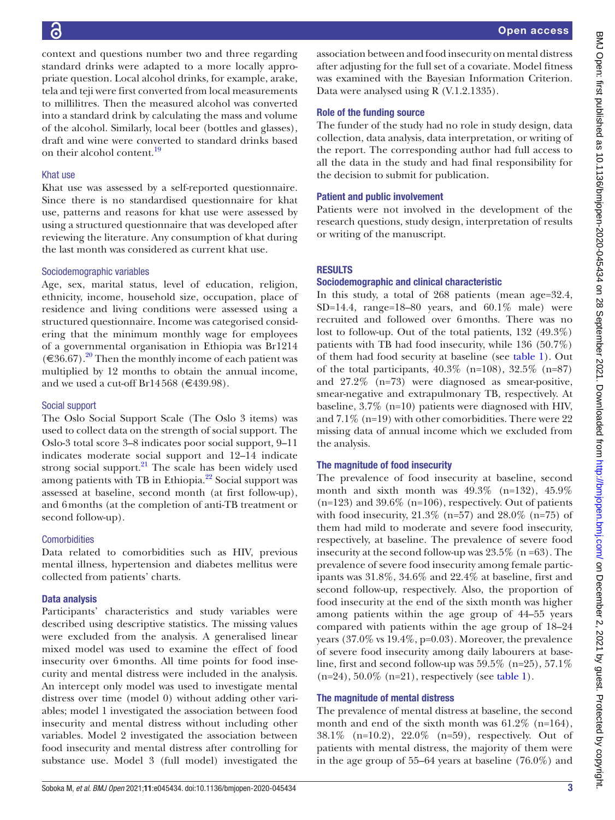context and questions number two and three regarding standard drinks were adapted to a more locally appropriate question. Local alcohol drinks, for example, arake, tela and teji were first converted from local measurements to millilitres. Then the measured alcohol was converted into a standard drink by calculating the mass and volume of the alcohol. Similarly, local beer (bottles and glasses), draft and wine were converted to standard drinks based on their alcohol content.<sup>19</sup>

#### Khat use

Khat use was assessed by a self-reported questionnaire. Since there is no standardised questionnaire for khat use, patterns and reasons for khat use were assessed by using a structured questionnaire that was developed after reviewing the literature. Any consumption of khat during the last month was considered as current khat use.

#### Sociodemographic variables

Age, sex, marital status, level of education, religion, ethnicity, income, household size, occupation, place of residence and living conditions were assessed using a structured questionnaire. Income was categorised considering that the minimum monthly wage for employees of a governmental organisation in Ethiopia was Br1214  $(\text{\textless}=36.67)$ .<sup>20</sup> Then the monthly income of each patient was multiplied by 12 months to obtain the annual income, and we used a cut-off Br14568 ( $€439.98$ ).

## Social support

The Oslo Social Support Scale (The Oslo 3 items) was used to collect data on the strength of social support. The Oslo-3 total score 3–8 indicates poor social support, 9–11 indicates moderate social support and 12–14 indicate strong social support. $21$  The scale has been widely used among patients with TB in Ethiopia.<sup>22</sup> Social support was assessed at baseline, second month (at first follow-up), and 6months (at the completion of anti-TB treatment or second follow-up).

## **Comorbidities**

Data related to comorbidities such as HIV, previous mental illness, hypertension and diabetes mellitus were collected from patients' charts.

## Data analysis

Participants' characteristics and study variables were described using descriptive statistics. The missing values were excluded from the analysis. A generalised linear mixed model was used to examine the effect of food insecurity over 6months. All time points for food insecurity and mental distress were included in the analysis. An intercept only model was used to investigate mental distress over time (model 0) without adding other variables; model 1 investigated the association between food insecurity and mental distress without including other variables. Model 2 investigated the association between food insecurity and mental distress after controlling for substance use. Model 3 (full model) investigated the

association between and food insecurity on mental distress after adjusting for the full set of a covariate. Model fitness was examined with the Bayesian Information Criterion. Data were analysed using R (V.1.2.1335).

## Role of the funding source

The funder of the study had no role in study design, data collection, data analysis, data interpretation, or writing of the report. The corresponding author had full access to all the data in the study and had final responsibility for the decision to submit for publication.

## Patient and public involvement

Patients were not involved in the development of the research questions, study design, interpretation of results or writing of the manuscript.

## RESULTS

## Sociodemographic and clinical characteristic

In this study, a total of 268 patients (mean age=32.4, SD=14.4, range=18–80 years, and 60.1% male) were recruited and followed over 6months. There was no lost to follow-up. Out of the total patients, 132 (49.3%) patients with TB had food insecurity, while 136 (50.7%) of them had food security at baseline (see [table](#page-3-0) 1). Out of the total participants,  $40.3\%$  (n=108),  $32.5\%$  (n=87) and 27.2% (n=73) were diagnosed as smear-positive, smear-negative and extrapulmonary TB, respectively. At baseline, 3.7% (n=10) patients were diagnosed with HIV, and 7.1% (n=19) with other comorbidities. There were 22 missing data of annual income which we excluded from the analysis.

## The magnitude of food insecurity

The prevalence of food insecurity at baseline, second month and sixth month was  $49.3\%$  (n=132),  $45.9\%$  $(n=123)$  and 39.6%  $(n=106)$ , respectively. Out of patients with food insecurity,  $21.3\%$  (n=57) and  $28.0\%$  (n=75) of them had mild to moderate and severe food insecurity, respectively, at baseline. The prevalence of severe food insecurity at the second follow-up was 23.5% (n =63). The prevalence of severe food insecurity among female participants was 31.8%, 34.6% and 22.4% at baseline, first and second follow-up, respectively. Also, the proportion of food insecurity at the end of the sixth month was higher among patients within the age group of 44–55 years compared with patients within the age group of 18–24 years (37.0% vs 19.4%, p=0.03). Moreover, the prevalence of severe food insecurity among daily labourers at baseline, first and second follow-up was  $59.5\%$  (n=25),  $57.1\%$  $(n=24)$ , 50.0%  $(n=21)$ , respectively (see [table](#page-3-0) 1).

## The magnitude of mental distress

The prevalence of mental distress at baseline, the second month and end of the sixth month was 61.2% (n=164), 38.1% (n=10.2), 22.0% (n=59), respectively. Out of patients with mental distress, the majority of them were in the age group of 55–64 years at baseline (76.0%) and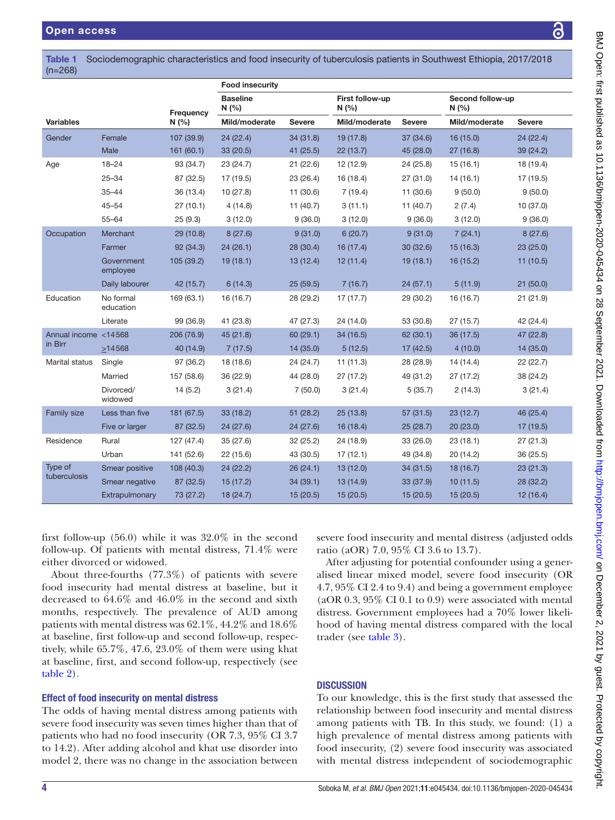<span id="page-3-0"></span>Table 1 Sociodemographic characteristics and food insecurity of tuberculosis patients in Southwest Ethiopia, 2017/2018 (n=268)

|                      |                        |            | <b>Food insecurity</b> |               |                        |               |                         |               |  |
|----------------------|------------------------|------------|------------------------|---------------|------------------------|---------------|-------------------------|---------------|--|
|                      |                        | Frequency  | <b>Baseline</b><br>N(% |               | First follow-up<br>N(% |               | Second follow-up<br>N(% |               |  |
| <b>Variables</b>     |                        | N(%        | Mild/moderate          | <b>Severe</b> | Mild/moderate          | <b>Severe</b> | Mild/moderate           | <b>Severe</b> |  |
| Gender               | Female                 | 107 (39.9) | 24(22.4)               | 34 (31.8)     | 19 (17.8)              | 37 (34.6)     | 16(15.0)                | 24 (22.4)     |  |
|                      | Male                   | 161(60.1)  | 33 (20.5)              | 41 (25.5)     | 22(13.7)               | 45 (28.0)     | 27(16.8)                | 39 (24.2)     |  |
| Age                  | $18 - 24$              | 93 (34.7)  | 23 (24.7)              | 21 (22.6)     | 12 (12.9)              | 24 (25.8)     | 15(16.1)                | 18 (19.4)     |  |
|                      | $25 - 34$              | 87 (32.5)  | 17 (19.5)              | 23 (26.4)     | 16 (18.4)              | 27(31.0)      | 14(16.1)                | 17 (19.5)     |  |
|                      | $35 - 44$              | 36 (13.4)  | 10(27.8)               | 11 (30.6)     | 7(19.4)                | 11 (30.6)     | 9(50.0)                 | 9(50.0)       |  |
|                      | $45 - 54$              | 27(10.1)   | 4(14.8)                | 11(40.7)      | 3(11.1)                | 11(40.7)      | 2(7.4)                  | 10(37.0)      |  |
|                      | $55 - 64$              | 25(9.3)    | 3(12.0)                | 9(36.0)       | 3(12.0)                | 9(36.0)       | 3(12.0)                 | 9(36.0)       |  |
| Occupation           | Merchant               | 29 (10.8)  | 8(27.6)                | 9(31.0)       | 6(20.7)                | 9(31.0)       | 7(24.1)                 | 8(27.6)       |  |
|                      | Farmer                 | 92 (34.3)  | 24(26.1)               | 28 (30.4)     | 16(17.4)               | 30(32.6)      | 15(16.3)                | 23(25.0)      |  |
|                      | Government<br>employee | 105 (39.2) | 19(18.1)               | 13(12.4)      | 12(11.4)               | 19(18.1)      | 16(15.2)                | 11(10.5)      |  |
|                      | Daily labourer         | 42 (15.7)  | 6(14.3)                | 25(59.5)      | 7(16.7)                | 24(57.1)      | 5(11.9)                 | 21(50.0)      |  |
| Education            | No formal<br>education | 169 (63.1) | 16 (16.7)              | 28 (29.2)     | 17(17.7)               | 29 (30.2)     | 16 (16.7)               | 21(21.9)      |  |
|                      | Literate               | 99 (36.9)  | 41 (23.8)              | 47 (27.3)     | 24 (14.0)              | 53 (30.8)     | 27(15.7)                | 42 (24.4)     |  |
| Annual income <14568 |                        | 206 (76.9) | 45 (21.8)              | 60 (29.1)     | 34 (16.5)              | 62 (30.1)     | 36 (17.5)               | 47 (22.8)     |  |
| in Birr              | >14568                 | 40 (14.9)  | 7(17.5)                | 14 (35.0)     | 5(12.5)                | 17(42.5)      | 4(10.0)                 | 14(35.0)      |  |
| Marital status       | Single                 | 97 (36.2)  | 18 (18.6)              | 24 (24.7)     | 11(11.3)               | 28 (28.9)     | 14 (14.4)               | 22(22.7)      |  |
|                      | Married                | 157 (58.6) | 36 (22.9)              | 44 (28.0)     | 27(17.2)               | 49 (31.2)     | 27 (17.2)               | 38 (24.2)     |  |
|                      | Divorced/<br>widowed   | 14(5.2)    | 3(21.4)                | 7(50.0)       | 3(21.4)                | 5(35.7)       | 2(14.3)                 | 3(21.4)       |  |
| Family size          | Less than five         | 181 (67.5) | 33(18.2)               | 51 (28.2)     | 25(13.8)               | 57 (31.5)     | 23(12.7)                | 46 (25.4)     |  |
|                      | Five or larger         | 87 (32.5)  | 24(27.6)               | 24 (27.6)     | 16(18.4)               | 25(28.7)      | 20(23.0)                | 17 (19.5)     |  |
| Residence            | Rural                  | 127 (47.4) | 35 (27.6)              | 32 (25.2)     | 24 (18.9)              | 33 (26.0)     | 23(18.1)                | 27(21.3)      |  |
|                      | Urban                  | 141 (52.6) | 22 (15.6)              | 43 (30.5)     | 17(12.1)               | 49 (34.8)     | 20 (14.2)               | 36 (25.5)     |  |
| Type of              | Smear positive         | 108 (40.3) | 24(22.2)               | 26(24.1)      | 13(12.0)               | 34 (31.5)     | 18(16.7)                | 23(21.3)      |  |
| tuberculosis         | Smear negative         | 87 (32.5)  | 15(17.2)               | 34 (39.1)     | 13 (14.9)              | 33 (37.9)     | 10(11.5)                | 28 (32.2)     |  |
|                      | Extrapulmonary         | 73 (27.2)  | 18(24.7)               | 15(20.5)      | 15(20.5)               | 15(20.5)      | 15(20.5)                | 12(16.4)      |  |

first follow-up (56.0) while it was 32.0% in the second follow-up. Of patients with mental distress, 71.4% were either divorced or widowed.

About three-fourths (77.3%) of patients with severe food insecurity had mental distress at baseline, but it decreased to 64.6% and 46.0% in the second and sixth months, respectively. The prevalence of AUD among patients with mental distress was 62.1%, 44.2% and 18.6% at baseline, first follow-up and second follow-up, respectively, while 65.7%, 47.6, 23.0% of them were using khat at baseline, first, and second follow-up, respectively (see [table](#page-4-0) 2).

# Effect of food insecurity on mental distress

The odds of having mental distress among patients with severe food insecurity was seven times higher than that of patients who had no food insecurity (OR 7.3, 95% CI 3.7 to 14.2). After adding alcohol and khat use disorder into model 2, there was no change in the association between

severe food insecurity and mental distress (adjusted odds ratio (aOR) 7.0, 95% CI 3.6 to 13.7).

After adjusting for potential confounder using a generalised linear mixed model, severe food insecurity (OR 4.7, 95% CI 2.4 to 9.4) and being a government employee (aOR 0.3, 95% CI 0.1 to 0.9) were associated with mental distress. Government employees had a 70% lower likelihood of having mental distress compared with the local trader (see [table](#page-5-0) 3).

# **DISCUSSION**

To our knowledge, this is the first study that assessed the relationship between food insecurity and mental distress among patients with TB. In this study, we found: (1) a high prevalence of mental distress among patients with food insecurity, (2) severe food insecurity was associated with mental distress independent of sociodemographic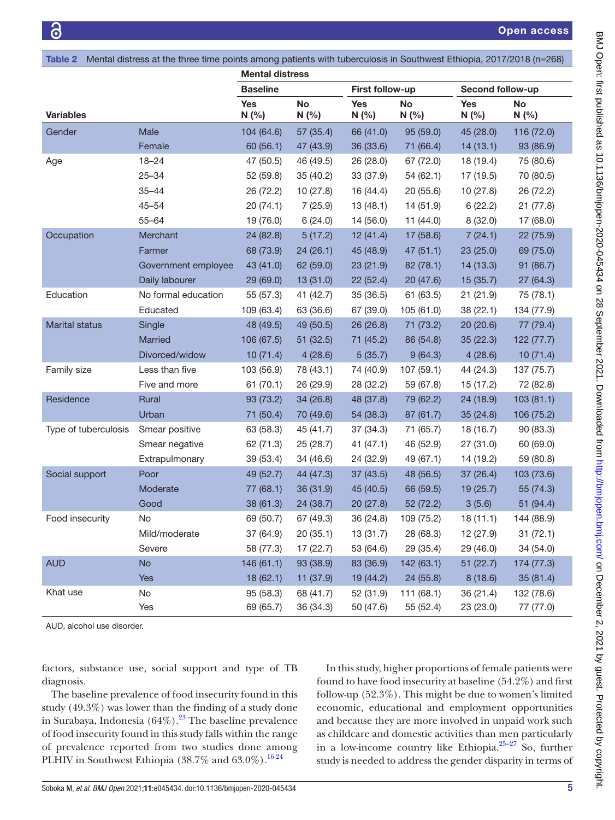<span id="page-4-0"></span>

| Table 2              | Mental distress at the three time points among patients with tuberculosis in Southwest Ethiopia, 2017/2018 (n=268) |                        |            |                    |                    |                   |            |  |  |
|----------------------|--------------------------------------------------------------------------------------------------------------------|------------------------|------------|--------------------|--------------------|-------------------|------------|--|--|
|                      |                                                                                                                    | <b>Mental distress</b> |            |                    |                    |                   |            |  |  |
|                      |                                                                                                                    | <b>Baseline</b>        |            | First follow-up    |                    | Second follow-up  |            |  |  |
| <b>Variables</b>     |                                                                                                                    | <b>Yes</b><br>N(% )    | No<br>N(%) | <b>Yes</b><br>N(%) | <b>No</b><br>N(% ) | <b>Yes</b><br>N(% | No<br>N(%  |  |  |
| Gender               | Male                                                                                                               | 104 (64.6)             | 57 (35.4)  | 66 (41.0)          | 95 (59.0)          | 45 (28.0)         | 116 (72.0) |  |  |
|                      | Female                                                                                                             | 60 (56.1)              | 47 (43.9)  | 36 (33.6)          | 71 (66.4)          | 14(13.1)          | 93 (86.9)  |  |  |
| Age                  | $18 - 24$                                                                                                          | 47 (50.5)              | 46 (49.5)  | 26 (28.0)          | 67 (72.0)          | 18 (19.4)         | 75 (80.6)  |  |  |
|                      | $25 - 34$                                                                                                          | 52 (59.8)              | 35 (40.2)  | 33 (37.9)          | 54(62.1)           | 17 (19.5)         | 70 (80.5)  |  |  |
|                      | $35 - 44$                                                                                                          | 26 (72.2)              | 10(27.8)   | 16 (44.4)          | 20(55.6)           | 10(27.8)          | 26 (72.2)  |  |  |
|                      | $45 - 54$                                                                                                          | 20(74.1)               | 7(25.9)    | 13(48.1)           | 14(51.9)           | 6(22.2)           | 21 (77.8)  |  |  |
|                      | $55 - 64$                                                                                                          | 19 (76.0)              | 6(24.0)    | 14 (56.0)          | 11 $(44.0)$        | 8(32.0)           | 17 (68.0)  |  |  |
| Occupation           | Merchant                                                                                                           | 24 (82.8)              | 5(17.2)    | 12(41.4)           | 17 (58.6)          | 7(24.1)           | 22 (75.9)  |  |  |
|                      | Farmer                                                                                                             | 68 (73.9)              | 24(26.1)   | 45 (48.9)          | 47(51.1)           | 23(25.0)          | 69 (75.0)  |  |  |
|                      | Government employee                                                                                                | 43 (41.0)              | 62 (59.0)  | 23(21.9)           | 82(78.1)           | 14(13.3)          | 91 (86.7)  |  |  |
|                      | Daily labourer                                                                                                     | 29 (69.0)              | 13 (31.0)  | 22(52.4)           | 20(47.6)           | 15(35.7)          | 27 (64.3)  |  |  |
| Education            | No formal education                                                                                                | 55 (57.3)              | 41 (42.7)  | 35 (36.5)          | 61 (63.5)          | 21(21.9)          | 75 (78.1)  |  |  |
|                      | Educated                                                                                                           | 109 (63.4)             | 63 (36.6)  | 67 (39.0)          | 105 (61.0)         | 38 (22.1)         | 134 (77.9) |  |  |
| Marital status       | Single                                                                                                             | 48 (49.5)              | 49 (50.5)  | 26 (26.8)          | 71 (73.2)          | 20(20.6)          | 77 (79.4)  |  |  |
|                      | Married                                                                                                            | 106 (67.5)             | 51(32.5)   | 71 (45.2)          | 86 (54.8)          | 35(22.3)          | 122 (77.7) |  |  |
|                      | Divorced/widow                                                                                                     | 10(71.4)               | 4(28.6)    | 5(35.7)            | 9(64.3)            | 4(28.6)           | 10(71.4)   |  |  |
| Family size          | Less than five                                                                                                     | 103 (56.9)             | 78 (43.1)  | 74 (40.9)          | 107(59.1)          | 44 (24.3)         | 137 (75.7) |  |  |
|                      | Five and more                                                                                                      | 61(70.1)               | 26 (29.9)  | 28 (32.2)          | 59 (67.8)          | 15 (17.2)         | 72 (82.8)  |  |  |
| Residence            | Rural                                                                                                              | 93 (73.2)              | 34 (26.8)  | 48 (37.8)          | 79 (62.2)          | 24 (18.9)         | 103(81.1)  |  |  |
|                      | Urban                                                                                                              | 71 (50.4)              | 70 (49.6)  | 54 (38.3)          | 87 (61.7)          | 35(24.8)          | 106 (75.2) |  |  |
| Type of tuberculosis | Smear positive                                                                                                     | 63 (58.3)              | 45 (41.7)  | 37 (34.3)          | 71 (65.7)          | 18 (16.7)         | 90 (83.3)  |  |  |
|                      | Smear negative                                                                                                     | 62 (71.3)              | 25(28.7)   | 41(47.1)           | 46 (52.9)          | 27(31.0)          | 60 (69.0)  |  |  |
|                      | Extrapulmonary                                                                                                     | 39 (53.4)              | 34 (46.6)  | 24 (32.9)          | 49 (67.1)          | 14 (19.2)         | 59 (80.8)  |  |  |
| Social support       | Poor                                                                                                               | 49 (52.7)              | 44 (47.3)  | 37(43.5)           | 48 (56.5)          | 37 (26.4)         | 103 (73.6) |  |  |
|                      | Moderate                                                                                                           | 77 (68.1)              | 36(31.9)   | 45 (40.5)          | 66 (59.5)          | 19(25.7)          | 55 (74.3)  |  |  |
|                      | Good                                                                                                               | 38 (61.3)              | 24 (38.7)  | 20 (27.8)          | 52 (72.2)          | 3(5.6)            | 51 (94.4)  |  |  |
| Food insecurity      | No                                                                                                                 | 69 (50.7)              | 67 (49.3)  | 36 (24.8)          | 109 (75.2)         | 18(11.1)          | 144 (88.9) |  |  |
|                      | Mild/moderate                                                                                                      | 37 (64.9)              | 20(35.1)   | 13 (31.7)          | 28 (68.3)          | 12 (27.9)         | 31(72.1)   |  |  |
|                      | Severe                                                                                                             | 58 (77.3)              | 17(22.7)   | 53 (64.6)          | 29 (35.4)          | 29 (46.0)         | 34 (54.0)  |  |  |
| <b>AUD</b>           | <b>No</b>                                                                                                          | 146 (61.1)             | 93 (38.9)  | 83 (36.9)          | 142 (63.1)         | 51(22.7)          | 174 (77.3) |  |  |
|                      | Yes                                                                                                                | 18 (62.1)              | 11 (37.9)  | 19 (44.2)          | 24 (55.8)          | 8(18.6)           | 35 (81.4)  |  |  |
| Khat use             | No                                                                                                                 | 95 (58.3)              | 68 (41.7)  | 52 (31.9)          | 111(68.1)          | 36 (21.4)         | 132 (78.6) |  |  |
|                      | Yes                                                                                                                | 69 (65.7)              | 36 (34.3)  | 50 (47.6)          | 55 (52.4)          | 23 (23.0)         | 77 (77.0)  |  |  |

AUD, alcohol use disorder.

factors, substance use, social support and type of TB diagnosis.

The baseline prevalence of food insecurity found in this study (49.3%) was lower than the finding of a study done in Surabaya, Indonesia  $(64\%)$ .<sup>23</sup> The baseline prevalence of food insecurity found in this study falls within the range of prevalence reported from two studies done among PLHIV in Southwest Ethiopia (38.7% and 63.0%).<sup>1624</sup>

In this study, higher proportions of female patients were found to have food insecurity at baseline (54.2%) and first follow-up (52.3%). This might be due to women's limited economic, educational and employment opportunities and because they are more involved in unpaid work such as childcare and domestic activities than men particularly in a low-income country like Ethiopia.<sup>25-27</sup> So, further study is needed to address the gender disparity in terms of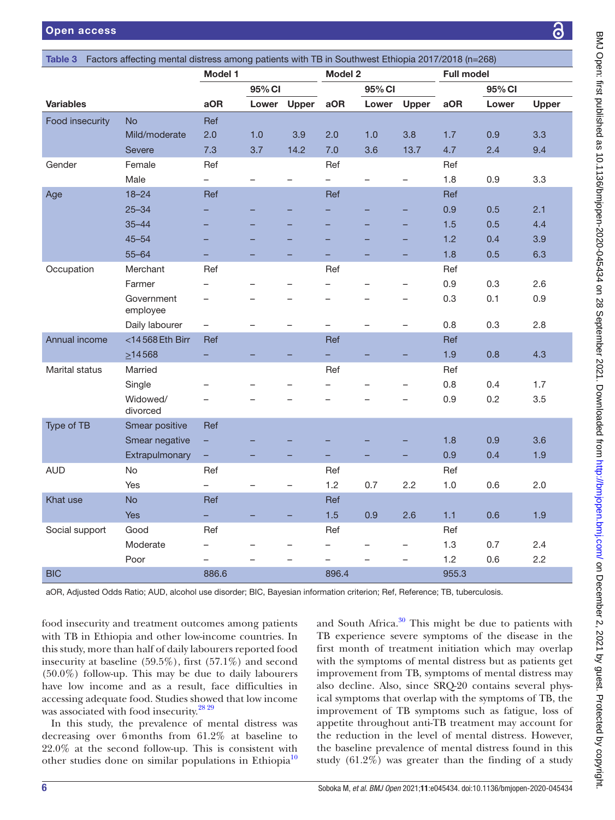<span id="page-5-0"></span>

| Model 1<br><b>Model 2</b><br><b>Full model</b><br>95% CI<br>95% CI<br>95% CI<br><b>Variables</b><br>aOR<br>Upper<br>aOR<br>aOR<br>Lower<br>Lower<br>Upper<br>Lower<br><b>Upper</b><br>Food insecurity<br><b>No</b><br>Ref<br>Mild/moderate<br>2.0<br>1.0<br>3.9<br>2.0<br>3.8<br>0.9<br>3.3<br>1.0<br>1.7<br>14.2<br>7.0<br>3.6<br>2.4<br>9.4<br><b>Severe</b><br>7.3<br>3.7<br>13.7<br>4.7<br>Gender<br>Female<br>Ref<br>Ref<br>Ref<br>3.3<br>Male<br>$\overline{\phantom{0}}$<br>$\qquad \qquad -$<br>1.8<br>0.9<br>$\overline{\phantom{0}}$<br>$\overline{\phantom{0}}$<br>$\overline{\phantom{0}}$<br>-<br>Age<br>$18 - 24$<br>Ref<br>Ref<br>Ref<br>0.9<br>2.1<br>$25 - 34$<br>0.5<br>$35 - 44$<br>1.5<br>0.5<br>4.4<br>-<br>-<br>1.2<br>$45 - 54$<br>0.4<br>3.9<br>$55 - 64$<br>1.8<br>0.5<br>6.3<br>-<br>Occupation<br>Merchant<br>Ref<br>Ref<br>Ref<br>0.9<br>0.3<br>2.6<br>Farmer<br>$\overline{\phantom{0}}$<br>$\overline{\phantom{0}}$<br>Government<br>0.3<br>0.1<br>0.9<br>$\overline{\phantom{0}}$<br>—<br>employee<br>0.8<br>2.8<br>Daily labourer<br>0.3<br>$\qquad \qquad -$<br>$\overline{\phantom{0}}$<br>$\overline{ }$<br>$\qquad \qquad -$<br>$\overline{\phantom{0}}$<br>$\overline{\phantom{0}}$<br>Annual income<br><14568 Eth Birr<br>Ref<br>Ref<br>Ref<br>$\geq$ 14568<br>1.9<br>0.8<br>4.3<br>Marital status<br>Married<br>Ref<br>Ref<br>0.8<br>0.4<br>1.7<br>Single<br>Widowed/<br>0.9<br>0.2<br>3.5<br>$\overline{\phantom{0}}$<br>divorced<br>Type of TB<br>Smear positive<br>Ref<br>Smear negative<br>1.8<br>0.9<br>3.6<br>÷<br>Extrapulmonary<br>0.9<br>0.4<br>1.9<br>-<br><b>AUD</b><br>No<br>Ref<br>Ref<br>Ref<br>Yes<br>1.2<br>0.7<br>2.2<br>1.0<br>0.6<br>2.0<br>$\overline{\phantom{0}}$<br>$\overline{\phantom{0}}$<br>—<br>Khat use<br><b>No</b><br>Ref<br>Ref<br>1.5<br>0.9<br><b>Yes</b><br>÷,<br>2.6<br>1.1<br>0.6<br>1.9<br>Social support<br>Good<br>Ref<br>Ref<br>Ref<br>1.3<br>0.7<br>2.4<br>Moderate<br>$\overline{\phantom{0}}$<br>1.2<br>0.6<br>2.2<br>Poor<br>$\overline{\phantom{0}}$<br>$\overline{\phantom{0}}$<br><b>BIC</b><br>896.4<br>955.3<br>886.6 | Table 3 Factors affecting mental distress among patients with TB in Southwest Ethiopia 2017/2018 (n=268) |  |  |  |  |  |  |  |  |  |  |
|----------------------------------------------------------------------------------------------------------------------------------------------------------------------------------------------------------------------------------------------------------------------------------------------------------------------------------------------------------------------------------------------------------------------------------------------------------------------------------------------------------------------------------------------------------------------------------------------------------------------------------------------------------------------------------------------------------------------------------------------------------------------------------------------------------------------------------------------------------------------------------------------------------------------------------------------------------------------------------------------------------------------------------------------------------------------------------------------------------------------------------------------------------------------------------------------------------------------------------------------------------------------------------------------------------------------------------------------------------------------------------------------------------------------------------------------------------------------------------------------------------------------------------------------------------------------------------------------------------------------------------------------------------------------------------------------------------------------------------------------------------------------------------------------------------------------------------------------------------------------------------------------------------------------------------------------------------------------------------------------------------------------------------------------------------------------------------------------------------------|----------------------------------------------------------------------------------------------------------|--|--|--|--|--|--|--|--|--|--|
|                                                                                                                                                                                                                                                                                                                                                                                                                                                                                                                                                                                                                                                                                                                                                                                                                                                                                                                                                                                                                                                                                                                                                                                                                                                                                                                                                                                                                                                                                                                                                                                                                                                                                                                                                                                                                                                                                                                                                                                                                                                                                                                |                                                                                                          |  |  |  |  |  |  |  |  |  |  |
|                                                                                                                                                                                                                                                                                                                                                                                                                                                                                                                                                                                                                                                                                                                                                                                                                                                                                                                                                                                                                                                                                                                                                                                                                                                                                                                                                                                                                                                                                                                                                                                                                                                                                                                                                                                                                                                                                                                                                                                                                                                                                                                |                                                                                                          |  |  |  |  |  |  |  |  |  |  |
|                                                                                                                                                                                                                                                                                                                                                                                                                                                                                                                                                                                                                                                                                                                                                                                                                                                                                                                                                                                                                                                                                                                                                                                                                                                                                                                                                                                                                                                                                                                                                                                                                                                                                                                                                                                                                                                                                                                                                                                                                                                                                                                |                                                                                                          |  |  |  |  |  |  |  |  |  |  |
|                                                                                                                                                                                                                                                                                                                                                                                                                                                                                                                                                                                                                                                                                                                                                                                                                                                                                                                                                                                                                                                                                                                                                                                                                                                                                                                                                                                                                                                                                                                                                                                                                                                                                                                                                                                                                                                                                                                                                                                                                                                                                                                |                                                                                                          |  |  |  |  |  |  |  |  |  |  |
|                                                                                                                                                                                                                                                                                                                                                                                                                                                                                                                                                                                                                                                                                                                                                                                                                                                                                                                                                                                                                                                                                                                                                                                                                                                                                                                                                                                                                                                                                                                                                                                                                                                                                                                                                                                                                                                                                                                                                                                                                                                                                                                |                                                                                                          |  |  |  |  |  |  |  |  |  |  |
|                                                                                                                                                                                                                                                                                                                                                                                                                                                                                                                                                                                                                                                                                                                                                                                                                                                                                                                                                                                                                                                                                                                                                                                                                                                                                                                                                                                                                                                                                                                                                                                                                                                                                                                                                                                                                                                                                                                                                                                                                                                                                                                |                                                                                                          |  |  |  |  |  |  |  |  |  |  |
|                                                                                                                                                                                                                                                                                                                                                                                                                                                                                                                                                                                                                                                                                                                                                                                                                                                                                                                                                                                                                                                                                                                                                                                                                                                                                                                                                                                                                                                                                                                                                                                                                                                                                                                                                                                                                                                                                                                                                                                                                                                                                                                |                                                                                                          |  |  |  |  |  |  |  |  |  |  |
|                                                                                                                                                                                                                                                                                                                                                                                                                                                                                                                                                                                                                                                                                                                                                                                                                                                                                                                                                                                                                                                                                                                                                                                                                                                                                                                                                                                                                                                                                                                                                                                                                                                                                                                                                                                                                                                                                                                                                                                                                                                                                                                |                                                                                                          |  |  |  |  |  |  |  |  |  |  |
|                                                                                                                                                                                                                                                                                                                                                                                                                                                                                                                                                                                                                                                                                                                                                                                                                                                                                                                                                                                                                                                                                                                                                                                                                                                                                                                                                                                                                                                                                                                                                                                                                                                                                                                                                                                                                                                                                                                                                                                                                                                                                                                |                                                                                                          |  |  |  |  |  |  |  |  |  |  |
|                                                                                                                                                                                                                                                                                                                                                                                                                                                                                                                                                                                                                                                                                                                                                                                                                                                                                                                                                                                                                                                                                                                                                                                                                                                                                                                                                                                                                                                                                                                                                                                                                                                                                                                                                                                                                                                                                                                                                                                                                                                                                                                |                                                                                                          |  |  |  |  |  |  |  |  |  |  |
|                                                                                                                                                                                                                                                                                                                                                                                                                                                                                                                                                                                                                                                                                                                                                                                                                                                                                                                                                                                                                                                                                                                                                                                                                                                                                                                                                                                                                                                                                                                                                                                                                                                                                                                                                                                                                                                                                                                                                                                                                                                                                                                |                                                                                                          |  |  |  |  |  |  |  |  |  |  |
|                                                                                                                                                                                                                                                                                                                                                                                                                                                                                                                                                                                                                                                                                                                                                                                                                                                                                                                                                                                                                                                                                                                                                                                                                                                                                                                                                                                                                                                                                                                                                                                                                                                                                                                                                                                                                                                                                                                                                                                                                                                                                                                |                                                                                                          |  |  |  |  |  |  |  |  |  |  |
|                                                                                                                                                                                                                                                                                                                                                                                                                                                                                                                                                                                                                                                                                                                                                                                                                                                                                                                                                                                                                                                                                                                                                                                                                                                                                                                                                                                                                                                                                                                                                                                                                                                                                                                                                                                                                                                                                                                                                                                                                                                                                                                |                                                                                                          |  |  |  |  |  |  |  |  |  |  |
|                                                                                                                                                                                                                                                                                                                                                                                                                                                                                                                                                                                                                                                                                                                                                                                                                                                                                                                                                                                                                                                                                                                                                                                                                                                                                                                                                                                                                                                                                                                                                                                                                                                                                                                                                                                                                                                                                                                                                                                                                                                                                                                |                                                                                                          |  |  |  |  |  |  |  |  |  |  |
|                                                                                                                                                                                                                                                                                                                                                                                                                                                                                                                                                                                                                                                                                                                                                                                                                                                                                                                                                                                                                                                                                                                                                                                                                                                                                                                                                                                                                                                                                                                                                                                                                                                                                                                                                                                                                                                                                                                                                                                                                                                                                                                |                                                                                                          |  |  |  |  |  |  |  |  |  |  |
|                                                                                                                                                                                                                                                                                                                                                                                                                                                                                                                                                                                                                                                                                                                                                                                                                                                                                                                                                                                                                                                                                                                                                                                                                                                                                                                                                                                                                                                                                                                                                                                                                                                                                                                                                                                                                                                                                                                                                                                                                                                                                                                |                                                                                                          |  |  |  |  |  |  |  |  |  |  |
|                                                                                                                                                                                                                                                                                                                                                                                                                                                                                                                                                                                                                                                                                                                                                                                                                                                                                                                                                                                                                                                                                                                                                                                                                                                                                                                                                                                                                                                                                                                                                                                                                                                                                                                                                                                                                                                                                                                                                                                                                                                                                                                |                                                                                                          |  |  |  |  |  |  |  |  |  |  |
|                                                                                                                                                                                                                                                                                                                                                                                                                                                                                                                                                                                                                                                                                                                                                                                                                                                                                                                                                                                                                                                                                                                                                                                                                                                                                                                                                                                                                                                                                                                                                                                                                                                                                                                                                                                                                                                                                                                                                                                                                                                                                                                |                                                                                                          |  |  |  |  |  |  |  |  |  |  |
|                                                                                                                                                                                                                                                                                                                                                                                                                                                                                                                                                                                                                                                                                                                                                                                                                                                                                                                                                                                                                                                                                                                                                                                                                                                                                                                                                                                                                                                                                                                                                                                                                                                                                                                                                                                                                                                                                                                                                                                                                                                                                                                |                                                                                                          |  |  |  |  |  |  |  |  |  |  |
|                                                                                                                                                                                                                                                                                                                                                                                                                                                                                                                                                                                                                                                                                                                                                                                                                                                                                                                                                                                                                                                                                                                                                                                                                                                                                                                                                                                                                                                                                                                                                                                                                                                                                                                                                                                                                                                                                                                                                                                                                                                                                                                |                                                                                                          |  |  |  |  |  |  |  |  |  |  |
|                                                                                                                                                                                                                                                                                                                                                                                                                                                                                                                                                                                                                                                                                                                                                                                                                                                                                                                                                                                                                                                                                                                                                                                                                                                                                                                                                                                                                                                                                                                                                                                                                                                                                                                                                                                                                                                                                                                                                                                                                                                                                                                |                                                                                                          |  |  |  |  |  |  |  |  |  |  |
|                                                                                                                                                                                                                                                                                                                                                                                                                                                                                                                                                                                                                                                                                                                                                                                                                                                                                                                                                                                                                                                                                                                                                                                                                                                                                                                                                                                                                                                                                                                                                                                                                                                                                                                                                                                                                                                                                                                                                                                                                                                                                                                |                                                                                                          |  |  |  |  |  |  |  |  |  |  |
|                                                                                                                                                                                                                                                                                                                                                                                                                                                                                                                                                                                                                                                                                                                                                                                                                                                                                                                                                                                                                                                                                                                                                                                                                                                                                                                                                                                                                                                                                                                                                                                                                                                                                                                                                                                                                                                                                                                                                                                                                                                                                                                |                                                                                                          |  |  |  |  |  |  |  |  |  |  |
|                                                                                                                                                                                                                                                                                                                                                                                                                                                                                                                                                                                                                                                                                                                                                                                                                                                                                                                                                                                                                                                                                                                                                                                                                                                                                                                                                                                                                                                                                                                                                                                                                                                                                                                                                                                                                                                                                                                                                                                                                                                                                                                |                                                                                                          |  |  |  |  |  |  |  |  |  |  |
|                                                                                                                                                                                                                                                                                                                                                                                                                                                                                                                                                                                                                                                                                                                                                                                                                                                                                                                                                                                                                                                                                                                                                                                                                                                                                                                                                                                                                                                                                                                                                                                                                                                                                                                                                                                                                                                                                                                                                                                                                                                                                                                |                                                                                                          |  |  |  |  |  |  |  |  |  |  |
|                                                                                                                                                                                                                                                                                                                                                                                                                                                                                                                                                                                                                                                                                                                                                                                                                                                                                                                                                                                                                                                                                                                                                                                                                                                                                                                                                                                                                                                                                                                                                                                                                                                                                                                                                                                                                                                                                                                                                                                                                                                                                                                |                                                                                                          |  |  |  |  |  |  |  |  |  |  |
|                                                                                                                                                                                                                                                                                                                                                                                                                                                                                                                                                                                                                                                                                                                                                                                                                                                                                                                                                                                                                                                                                                                                                                                                                                                                                                                                                                                                                                                                                                                                                                                                                                                                                                                                                                                                                                                                                                                                                                                                                                                                                                                |                                                                                                          |  |  |  |  |  |  |  |  |  |  |
|                                                                                                                                                                                                                                                                                                                                                                                                                                                                                                                                                                                                                                                                                                                                                                                                                                                                                                                                                                                                                                                                                                                                                                                                                                                                                                                                                                                                                                                                                                                                                                                                                                                                                                                                                                                                                                                                                                                                                                                                                                                                                                                |                                                                                                          |  |  |  |  |  |  |  |  |  |  |
|                                                                                                                                                                                                                                                                                                                                                                                                                                                                                                                                                                                                                                                                                                                                                                                                                                                                                                                                                                                                                                                                                                                                                                                                                                                                                                                                                                                                                                                                                                                                                                                                                                                                                                                                                                                                                                                                                                                                                                                                                                                                                                                |                                                                                                          |  |  |  |  |  |  |  |  |  |  |
|                                                                                                                                                                                                                                                                                                                                                                                                                                                                                                                                                                                                                                                                                                                                                                                                                                                                                                                                                                                                                                                                                                                                                                                                                                                                                                                                                                                                                                                                                                                                                                                                                                                                                                                                                                                                                                                                                                                                                                                                                                                                                                                |                                                                                                          |  |  |  |  |  |  |  |  |  |  |
|                                                                                                                                                                                                                                                                                                                                                                                                                                                                                                                                                                                                                                                                                                                                                                                                                                                                                                                                                                                                                                                                                                                                                                                                                                                                                                                                                                                                                                                                                                                                                                                                                                                                                                                                                                                                                                                                                                                                                                                                                                                                                                                |                                                                                                          |  |  |  |  |  |  |  |  |  |  |
|                                                                                                                                                                                                                                                                                                                                                                                                                                                                                                                                                                                                                                                                                                                                                                                                                                                                                                                                                                                                                                                                                                                                                                                                                                                                                                                                                                                                                                                                                                                                                                                                                                                                                                                                                                                                                                                                                                                                                                                                                                                                                                                |                                                                                                          |  |  |  |  |  |  |  |  |  |  |
|                                                                                                                                                                                                                                                                                                                                                                                                                                                                                                                                                                                                                                                                                                                                                                                                                                                                                                                                                                                                                                                                                                                                                                                                                                                                                                                                                                                                                                                                                                                                                                                                                                                                                                                                                                                                                                                                                                                                                                                                                                                                                                                |                                                                                                          |  |  |  |  |  |  |  |  |  |  |

aOR, Adjusted Odds Ratio; AUD, alcohol use disorder; BIC, Bayesian information criterion; Ref, Reference; TB, tuberculosis.

food insecurity and treatment outcomes among patients with TB in Ethiopia and other low-income countries. In this study, more than half of daily labourers reported food insecurity at baseline (59.5%), first (57.1%) and second (50.0%) follow-up. This may be due to daily labourers have low income and as a result, face difficulties in accessing adequate food. Studies showed that low income was associated with food insecurity.<sup>28 29</sup>

In this study, the prevalence of mental distress was decreasing over 6months from 61.2% at baseline to 22.0% at the second follow-up. This is consistent with other studies done on similar populations in Ethiopia<sup>[10](#page-7-19)</sup>

and South Africa. $30$  This might be due to patients with TB experience severe symptoms of the disease in the first month of treatment initiation which may overlap with the symptoms of mental distress but as patients get improvement from TB, symptoms of mental distress may also decline. Also, since SRQ-20 contains several physical symptoms that overlap with the symptoms of TB, the improvement of TB symptoms such as fatigue, loss of appetite throughout anti-TB treatment may account for the reduction in the level of mental distress. However, the baseline prevalence of mental distress found in this study (61.2%) was greater than the finding of a study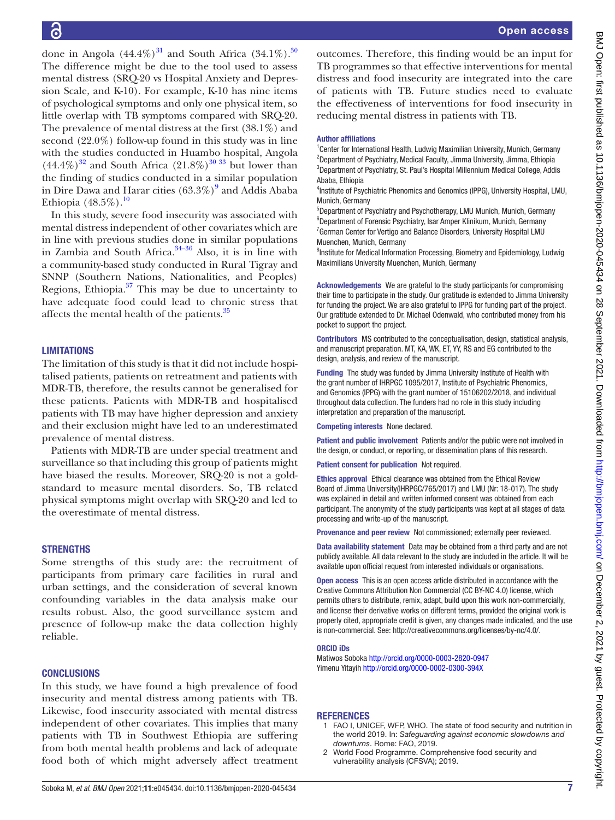done in Angola  $(44.4\%)$ <sup>31</sup> and South Africa  $(34.1\%)$ .<sup>30</sup> The difference might be due to the tool used to assess mental distress (SRQ-20 vs Hospital Anxiety and Depression Scale, and K-10). For example, K-10 has nine items of psychological symptoms and only one physical item, so little overlap with TB symptoms compared with SRQ-20. The prevalence of mental distress at the first (38.1%) and second (22.0%) follow-up found in this study was in line with the studies conducted in Huambo hospital, Angola  $(44.4\%)^{32}$  and South Africa  $(21.8\%)^{30\,33}$  but lower than the finding of studies conducted in a similar population in Dire Dawa and Harar cities  $(63.3\%)^9$  $(63.3\%)^9$  and Addis Ababa In this study, severe food insecurity was associated with mental distress independent of other covariates which are in line with previous studies done in similar populations in Zambia and South Africa. $34-36$  Also, it is in line with a community-based study conducted in Rural Tigray and SNNP (Southern Nations, Nationalities, and Peoples) Regions, Ethiopia. $37$  This may be due to uncertainty to have adequate food could lead to chronic stress that affects the mental health of the patients.<sup>35</sup> Author affiliations Ababa, Ethiopia Munich, Germany Muenchen, Munich, Germany pocket to support the project.

**LIMITATIONS** 

Ethiopia  $(48.5\%)$ .<sup>[10](#page-7-19)</sup>

The limitation of this study is that it did not include hospitalised patients, patients on retreatment and patients with MDR-TB, therefore, the results cannot be generalised for these patients. Patients with MDR-TB and hospitalised patients with TB may have higher depression and anxiety and their exclusion might have led to an underestimated prevalence of mental distress.

Patients with MDR-TB are under special treatment and surveillance so that including this group of patients might have biased the results. Moreover, SRQ-20 is not a goldstandard to measure mental disorders. So, TB related physical symptoms might overlap with SRQ-20 and led to the overestimate of mental distress.

## **STRENGTHS**

Some strengths of this study are: the recruitment of participants from primary care facilities in rural and urban settings, and the consideration of several known confounding variables in the data analysis make our results robust. Also, the good surveillance system and presence of follow-up make the data collection highly reliable.

## **CONCLUSIONS**

In this study, we have found a high prevalence of food insecurity and mental distress among patients with TB. Likewise, food insecurity associated with mental distress independent of other covariates. This implies that many patients with TB in Southwest Ethiopia are suffering from both mental health problems and lack of adequate food both of which might adversely affect treatment

outcomes. Therefore, this finding would be an input for TB programmes so that effective interventions for mental distress and food insecurity are integrated into the care of patients with TB. Future studies need to evaluate the effectiveness of interventions for food insecurity in reducing mental distress in patients with TB.

<sup>1</sup> Center for International Health, Ludwig Maximilian University, Munich, Germany <sup>2</sup>Department of Psychiatry, Medical Faculty, Jimma University, Jimma, Ethiopia <sup>3</sup>Department of Psychiatry, St. Paul's Hospital Millennium Medical College, Addis

<sup>4</sup>Institute of Psychiatric Phenomics and Genomics (IPPG), University Hospital, LMU,

5 Department of Psychiatry and Psychotherapy, LMU Munich, Munich, Germany 6 Department of Forensic Psychiatry, Isar Amper Klinikum, Munich, Germany <sup>7</sup> German Center for Vertigo and Balance Disorders, University Hospital LMU

<sup>8</sup>Institute for Medical Information Processing, Biometry and Epidemiology, Ludwig Maximilians University Muenchen, Munich, Germany

Acknowledgements We are grateful to the study participants for compromising their time to participate in the study. Our gratitude is extended to Jimma University for funding the project. We are also grateful to IPPG for funding part of the project. Our gratitude extended to Dr. Michael Odenwald, who contributed money from his

Contributors MS contributed to the conceptualisation, design, statistical analysis, and manuscript preparation. MT, KA, WK, ET, YY, RS and EG contributed to the design, analysis, and review of the manuscript.

Funding The study was funded by Jimma University Institute of Health with the grant number of IHRPGC 1095/2017, Institute of Psychiatric Phenomics, and Genomics (IPPG) with the grant number of 15106202/2018, and individual throughout data collection. The funders had no role in this study including interpretation and preparation of the manuscript.

Competing interests None declared.

Patient and public involvement Patients and/or the public were not involved in the design, or conduct, or reporting, or dissemination plans of this research.

Patient consent for publication Not required.

Ethics approval Ethical clearance was obtained from the Ethical Review Board of Jimma University(IHRPGC/765/2017) and LMU (Nr: 18-017). The study was explained in detail and written informed consent was obtained from each participant. The anonymity of the study participants was kept at all stages of data processing and write-up of the manuscript.

Provenance and peer review Not commissioned; externally peer reviewed.

Data availability statement Data may be obtained from a third party and are not publicly available. All data relevant to the study are included in the article. It will be available upon official request from interested individuals or organisations.

Open access This is an open access article distributed in accordance with the Creative Commons Attribution Non Commercial (CC BY-NC 4.0) license, which permits others to distribute, remix, adapt, build upon this work non-commercially, and license their derivative works on different terms, provided the original work is properly cited, appropriate credit is given, any changes made indicated, and the use is non-commercial. See: [http://creativecommons.org/licenses/by-nc/4.0/.](http://creativecommons.org/licenses/by-nc/4.0/)

#### ORCID iDs

Matiwos Soboka <http://orcid.org/0000-0003-2820-0947> Yimenu Yitayih <http://orcid.org/0000-0002-0300-394X>

#### <span id="page-6-0"></span>**REFERENCES**

- 1 FAO I, UNICEF, WFP, WHO. The state of food security and nutrition in the world 2019. In: *Safeguarding against economic slowdowns and downturns*. Rome: FAO, 2019.
- <span id="page-6-1"></span>2 World Food Programme. Comprehensive food security and vulnerability analysis (CFSVA); 2019.